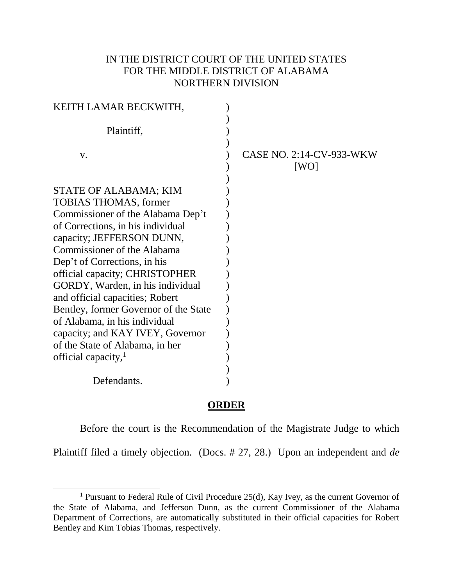## IN THE DISTRICT COURT OF THE UNITED STATES FOR THE MIDDLE DISTRICT OF ALABAMA NORTHERN DIVISION

| KEITH LAMAR BECKWITH,                 |                                  |
|---------------------------------------|----------------------------------|
| Plaintiff,                            |                                  |
| V.                                    | CASE NO. 2:14-CV-933-WKW<br>[WO] |
| STATE OF ALABAMA; KIM                 |                                  |
| <b>TOBIAS THOMAS, former</b>          |                                  |
| Commissioner of the Alabama Dep't     |                                  |
| of Corrections, in his individual     |                                  |
| capacity; JEFFERSON DUNN,             |                                  |
| Commissioner of the Alabama           |                                  |
| Dep't of Corrections, in his          |                                  |
| official capacity; CHRISTOPHER        |                                  |
| GORDY, Warden, in his individual      |                                  |
| and official capacities; Robert       |                                  |
| Bentley, former Governor of the State |                                  |
| of Alabama, in his individual         |                                  |
| capacity; and KAY IVEY, Governor      |                                  |
| of the State of Alabama, in her       |                                  |
| official capacity,                    |                                  |
|                                       |                                  |
| Defendants.                           |                                  |

## **ORDER**

Before the court is the Recommendation of the Magistrate Judge to which

Plaintiff filed a timely objection. (Docs. # 27, 28.) Upon an independent and *de* 

J.

<sup>&</sup>lt;sup>1</sup> Pursuant to Federal Rule of Civil Procedure  $25(d)$ , Kay Ivey, as the current Governor of the State of Alabama, and Jefferson Dunn, as the current Commissioner of the Alabama Department of Corrections, are automatically substituted in their official capacities for Robert Bentley and Kim Tobias Thomas, respectively.